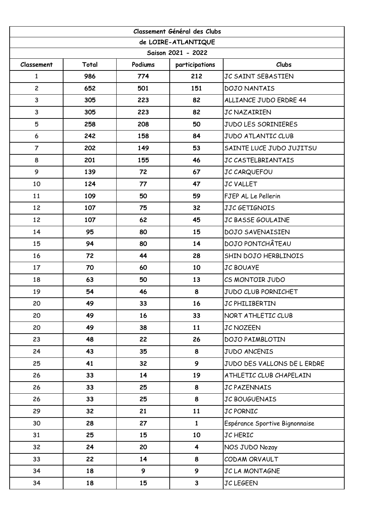| Classement Général des Clubs |       |         |                         |                                |  |  |  |
|------------------------------|-------|---------|-------------------------|--------------------------------|--|--|--|
| de LOIRE-ATLANTIQUE          |       |         |                         |                                |  |  |  |
| Saison 2021 - 2022           |       |         |                         |                                |  |  |  |
| Classement                   | Total | Podiums | participations          | Clubs                          |  |  |  |
| $\mathbf{1}$                 | 986   | 774     | 212                     | JC SAINT SEBASTIEN             |  |  |  |
| $\overline{c}$               | 652   | 501     | 151                     | <b>DOJO NANTAIS</b>            |  |  |  |
| 3                            | 305   | 223     | 82                      | ALLIANCE JUDO ERDRE 44         |  |  |  |
| 3                            | 305   | 223     | 82                      | <b>JC NAZAIRIEN</b>            |  |  |  |
| 5                            | 258   | 208     | 50                      | JUDO LES SORINIERES            |  |  |  |
| $\boldsymbol{6}$             | 242   | 158     | 84                      | <b>JUDO ATLANTIC CLUB</b>      |  |  |  |
| $\overline{7}$               | 202   | 149     | 53                      | SAINTE LUCE JUDO JUJITSU       |  |  |  |
| 8                            | 201   | 155     | 46                      | <b>JC CASTELBRIANTAIS</b>      |  |  |  |
| 9                            | 139   | 72      | 67                      | JC CARQUEFOU                   |  |  |  |
| 10                           | 124   | 77      | 47                      | <b>JC VALLET</b>               |  |  |  |
| 11                           | 109   | 50      | 59                      | FJEP AL Le Pellerin            |  |  |  |
| 12                           | 107   | 75      | 32                      | JJC GETIGNOIS                  |  |  |  |
| 12                           | 107   | 62      | 45                      | JC BASSE GOULAINE              |  |  |  |
| 14                           | 95    | 80      | 15                      | <b>DOJO SAVENAISIEN</b>        |  |  |  |
| 15                           | 94    | 80      | 14                      | <b>DOJO PONTCHÂTEAU</b>        |  |  |  |
| 16                           | 72    | 44      | 28                      | SHIN DOJO HERBLINOIS           |  |  |  |
| 17                           | 70    | 60      | 10                      | <b>JC BOUAYE</b>               |  |  |  |
| 18                           | 63    | 50      | 13                      | CS MONTOIR JUDO                |  |  |  |
| 19                           | 54    | 46      | 8                       | <b>JUDO CLUB PORNICHET</b>     |  |  |  |
| 20                           | 49    | 33      | 16                      | JC PHILIBERTIN                 |  |  |  |
| 20                           | 49    | 16      | 33                      | NORT ATHLETIC CLUB             |  |  |  |
| 20                           | 49    | 38      | 11                      | <b>JC NOZEEN</b>               |  |  |  |
| 23                           | 48    | 22      | 26                      | <b>DOJO PAIMBLOTIN</b>         |  |  |  |
| 24                           | 43    | 35      | 8                       | <b>JUDO ANCENIS</b>            |  |  |  |
| 25                           | 41    | 32      | 9                       | JUDO DES VALLONS DE L ERDRE    |  |  |  |
| 26                           | 33    | 14      | 19                      | ATHLETIC CLUB CHAPELAIN        |  |  |  |
| 26                           | 33    | 25      | 8                       | <b>JC PAZENNAIS</b>            |  |  |  |
| 26                           | 33    | 25      | 8                       | JC BOUGUENAIS                  |  |  |  |
| 29                           | 32    | 21      | 11                      | JC PORNIC                      |  |  |  |
| 30                           | 28    | 27      | $\mathbf{1}$            | Espérance Sportive Bignonnaise |  |  |  |
| 31                           | 25    | 15      | 10                      | JC HERIC                       |  |  |  |
| 32                           | 24    | 20      | $\overline{\mathbf{4}}$ | NOS JUDO Nozay                 |  |  |  |
| 33                           | 22    | 14      | 8                       | CODAM ORVAULT                  |  |  |  |
| 34                           | 18    | 9       | 9                       | JC LA MONTAGNE                 |  |  |  |
| 34                           | 18    | 15      | $\mathbf{3}$            | <b>JC LEGEEN</b>               |  |  |  |